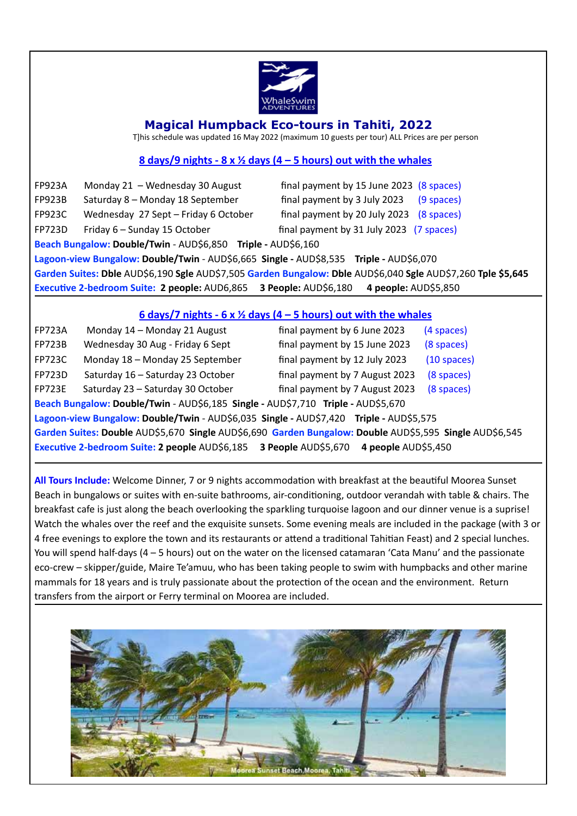

#### **Magical Humpback Eco-tours in Tahiti, 2022**

T]his schedule was updated 16 May 2022 (maximum 10 guests per tour) ALL Prices are per person

#### **8** days/9 nights -  $8 \times \frac{1}{2}$  days (4 – 5 hours) out with the whales

| 4 people: AUD\$5,850<br>Executive 2-bedroom Suite: 2 people: AUD6,865 3 People: AUD\$6,180                   |                                      |                                          |              |  |  |
|--------------------------------------------------------------------------------------------------------------|--------------------------------------|------------------------------------------|--------------|--|--|
| Garden Suites: Dble AUD\$6,190 Sgle AUD\$7,505 Garden Bungalow: Dble AUD\$6,040 Sgle AUD\$7,260 Tple \$5,645 |                                      |                                          |              |  |  |
| Lagoon-view Bungalow: Double/Twin - AUD\$6,665 Single - AUD\$8,535 Triple - AUD\$6,070                       |                                      |                                          |              |  |  |
| Beach Bungalow: Double/Twin - AUD\$6,850 Triple - AUD\$6,160                                                 |                                      |                                          |              |  |  |
| <b>FP723D</b>                                                                                                | Friday 6 - Sunday 15 October         | final payment by 31 July 2023 (7 spaces) |              |  |  |
| <b>FP923C</b>                                                                                                | Wednesday 27 Sept - Friday 6 October | final payment by 20 July 2023            | (8 spaces)   |  |  |
| <b>FP923B</b>                                                                                                | Saturday 8 - Monday 18 September     | final payment by 3 July 2023             | $(9$ spaces) |  |  |
| <b>FP923A</b>                                                                                                | Monday 21 - Wednesday 30 August      | final payment by 15 June 2023 (8 spaces) |              |  |  |

#### $6$  days/7 nights  $-6 \times \frac{1}{2}$  days (4 – 5 hours) out with the whales

| <b>FP723A</b>                                                                                           | Monday 14 - Monday 21 August      | final payment by 6 June 2023   | (4 spaces)    |  |  |
|---------------------------------------------------------------------------------------------------------|-----------------------------------|--------------------------------|---------------|--|--|
| <b>FP723B</b>                                                                                           | Wednesday 30 Aug - Friday 6 Sept  | final payment by 15 June 2023  | (8 spaces)    |  |  |
| <b>FP723C</b>                                                                                           | Monday 18 - Monday 25 September   | final payment by 12 July 2023  | $(10$ spaces) |  |  |
| <b>FP723D</b>                                                                                           | Saturday 16 - Saturday 23 October | final payment by 7 August 2023 | (8 spaces)    |  |  |
| <b>FP723E</b>                                                                                           | Saturday 23 - Saturday 30 October | final payment by 7 August 2023 | (8 spaces)    |  |  |
| Beach Bungalow: Double/Twin - AUD\$6,185 Single - AUD\$7,710 Triple - AUD\$5,670                        |                                   |                                |               |  |  |
| Lagoon-view Bungalow: Double/Twin - AUD\$6,035 Single - AUD\$7,420 Triple - AUD\$5,575                  |                                   |                                |               |  |  |
| Garden Suites: Double AUD\$5,670 Single AUD\$6,690 Garden Bungalow: Double AUD\$5,595 Single AUD\$6,545 |                                   |                                |               |  |  |
| Executive 2-bedroom Suite: 2 people AUD\$6,185 3 People AUD\$5,670 4 people AUD\$5,450                  |                                   |                                |               |  |  |

All Tours Include: Welcome Dinner, 7 or 9 nights accommodation with breakfast at the beautiful Moorea Sunset Beach in bungalows or suites with en-suite bathrooms, air-conditioning, outdoor verandah with table & chairs. The breakfast cafe is just along the beach overlooking the sparkling turquoise lagoon and our dinner venue is a suprise! Watch the whales over the reef and the exquisite sunsets. Some evening meals are included in the package (with 3 or 4 free evenings to explore the town and its restaurants or attend a traditional Tahitian Feast) and 2 special lunches. You will spend half-days (4 – 5 hours) out on the water on the licensed catamaran 'Cata Manu' and the passionate eco-crew – skipper/guide, Maire Te'amuu, who has been taking people to swim with humpbacks and other marine mammals for 18 years and is truly passionate about the protection of the ocean and the environment. Return transfers from the airport or Ferry terminal on Moorea are included.

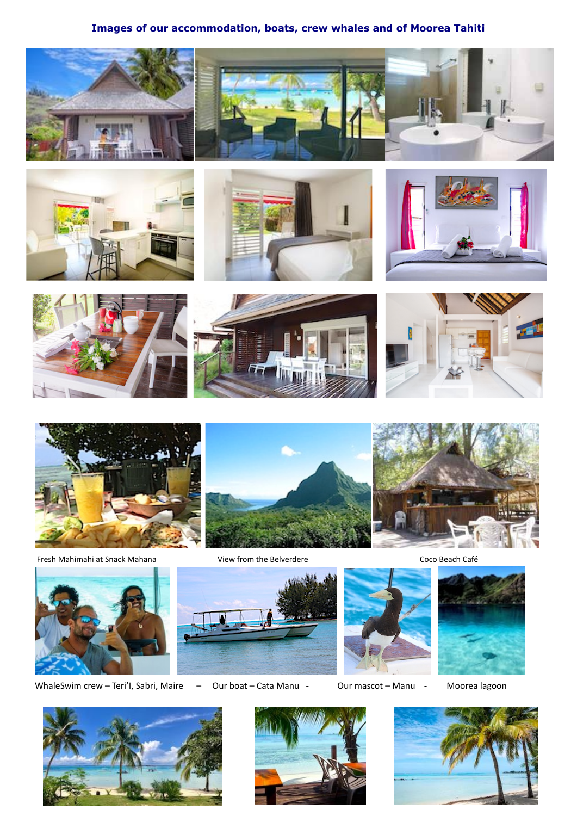## **Images of our accommodation, boats, crew whales and of Moorea Tahiti**

















 Fresh Mahimahi at Snack Mahana View from the Belverdere Coco Beach Café 







WhaleSwim crew - Teri'l, Sabri, Maire - Our boat - Cata Manu - Our mascot - Manu - Moorea lagoon